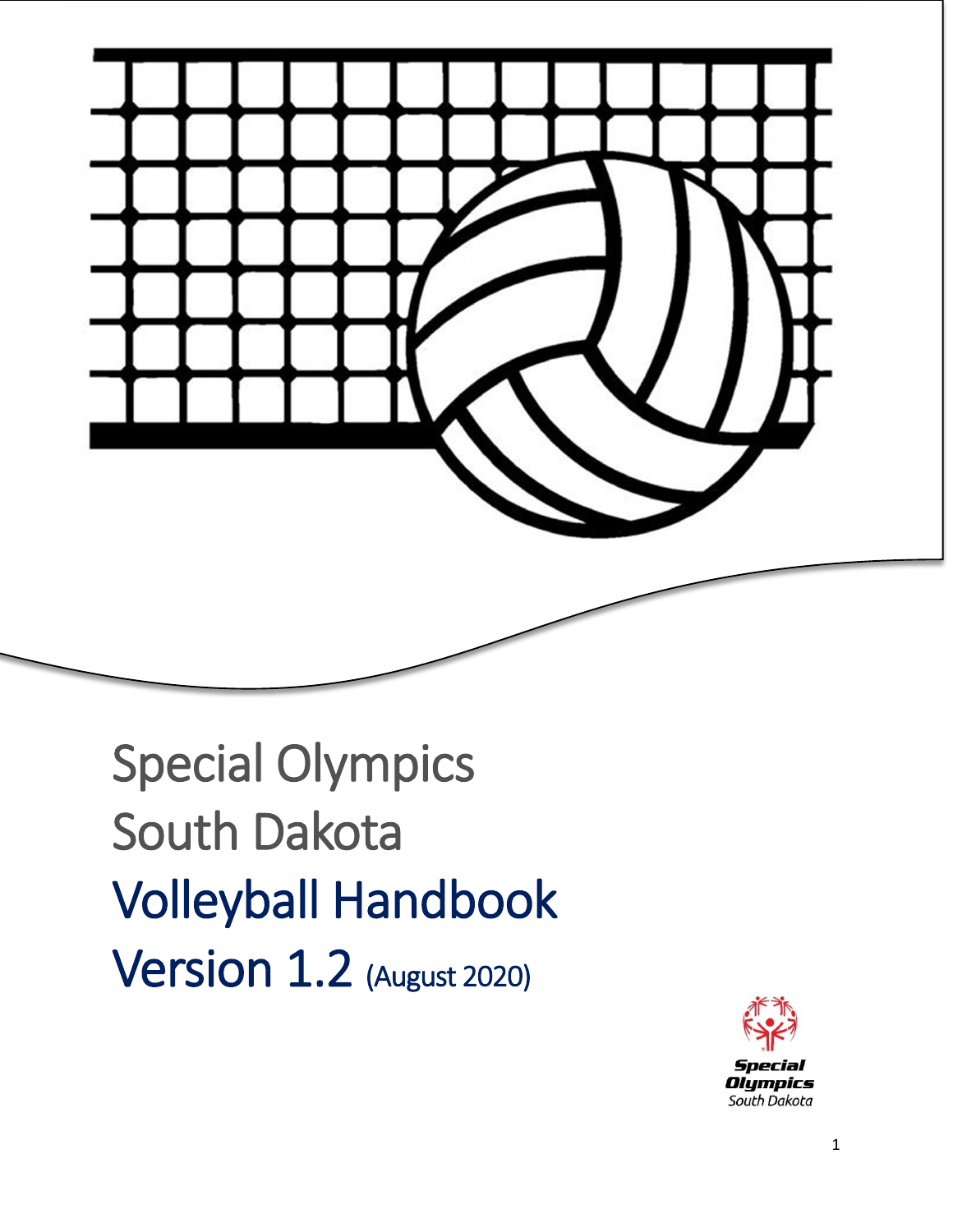

Special Olympics South Dakota Volleyball Handbook **Version 1.2** (August 2020)

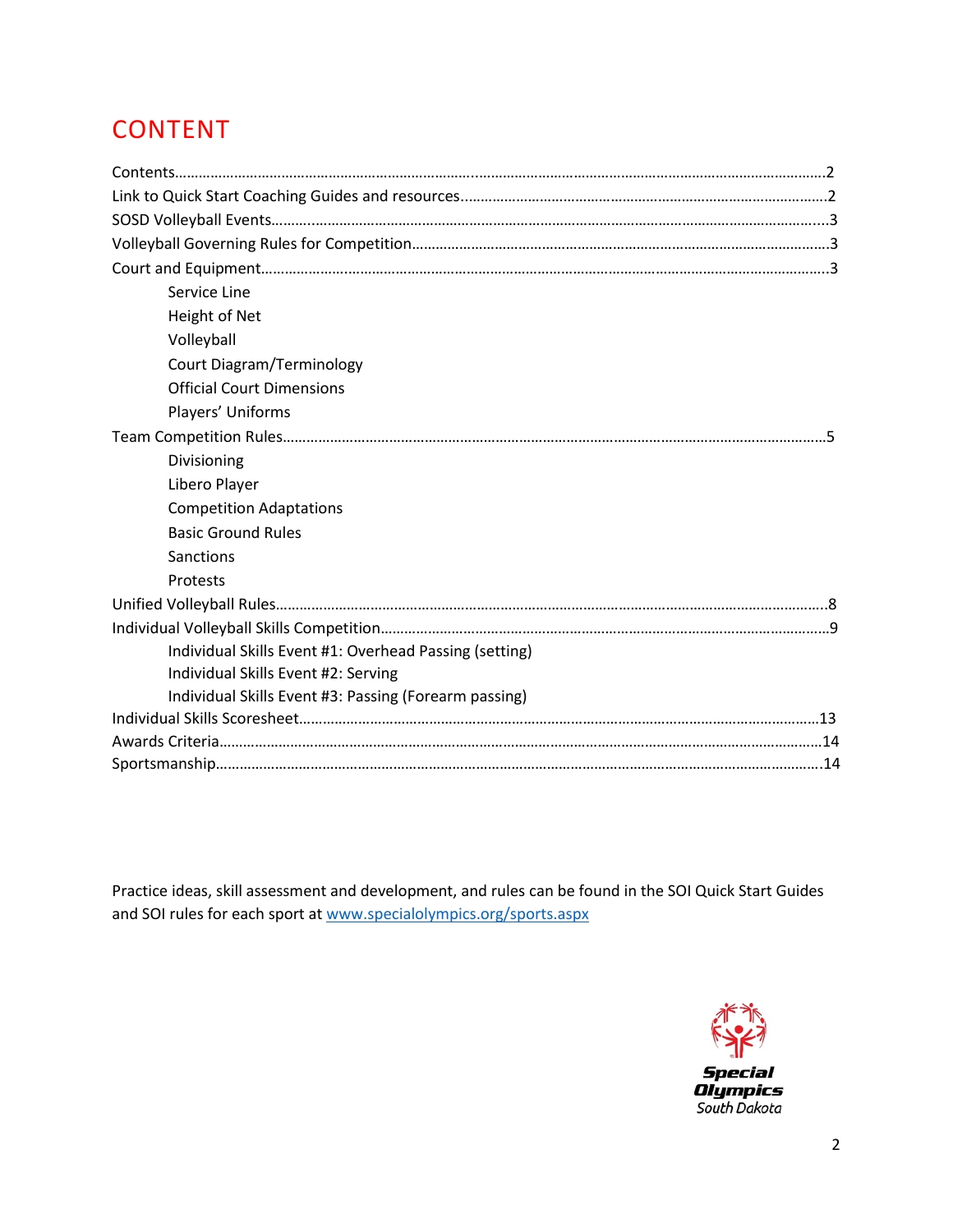# CONTENT

| Service Line                                           |  |
|--------------------------------------------------------|--|
| Height of Net                                          |  |
| Volleyball                                             |  |
| <b>Court Diagram/Terminology</b>                       |  |
| <b>Official Court Dimensions</b>                       |  |
| Players' Uniforms                                      |  |
|                                                        |  |
| Divisioning                                            |  |
| Libero Player                                          |  |
| <b>Competition Adaptations</b>                         |  |
| <b>Basic Ground Rules</b>                              |  |
| Sanctions                                              |  |
| Protests                                               |  |
|                                                        |  |
|                                                        |  |
| Individual Skills Event #1: Overhead Passing (setting) |  |
| Individual Skills Event #2: Serving                    |  |
| Individual Skills Event #3: Passing (Forearm passing)  |  |
|                                                        |  |
|                                                        |  |
|                                                        |  |

Practice ideas, skill assessment and development, and rules can be found in the SOI Quick Start Guides and SOI rules for each sport at [www.specialolympics.org/sports.aspx](http://www.specialolympics.org/sports.aspx)

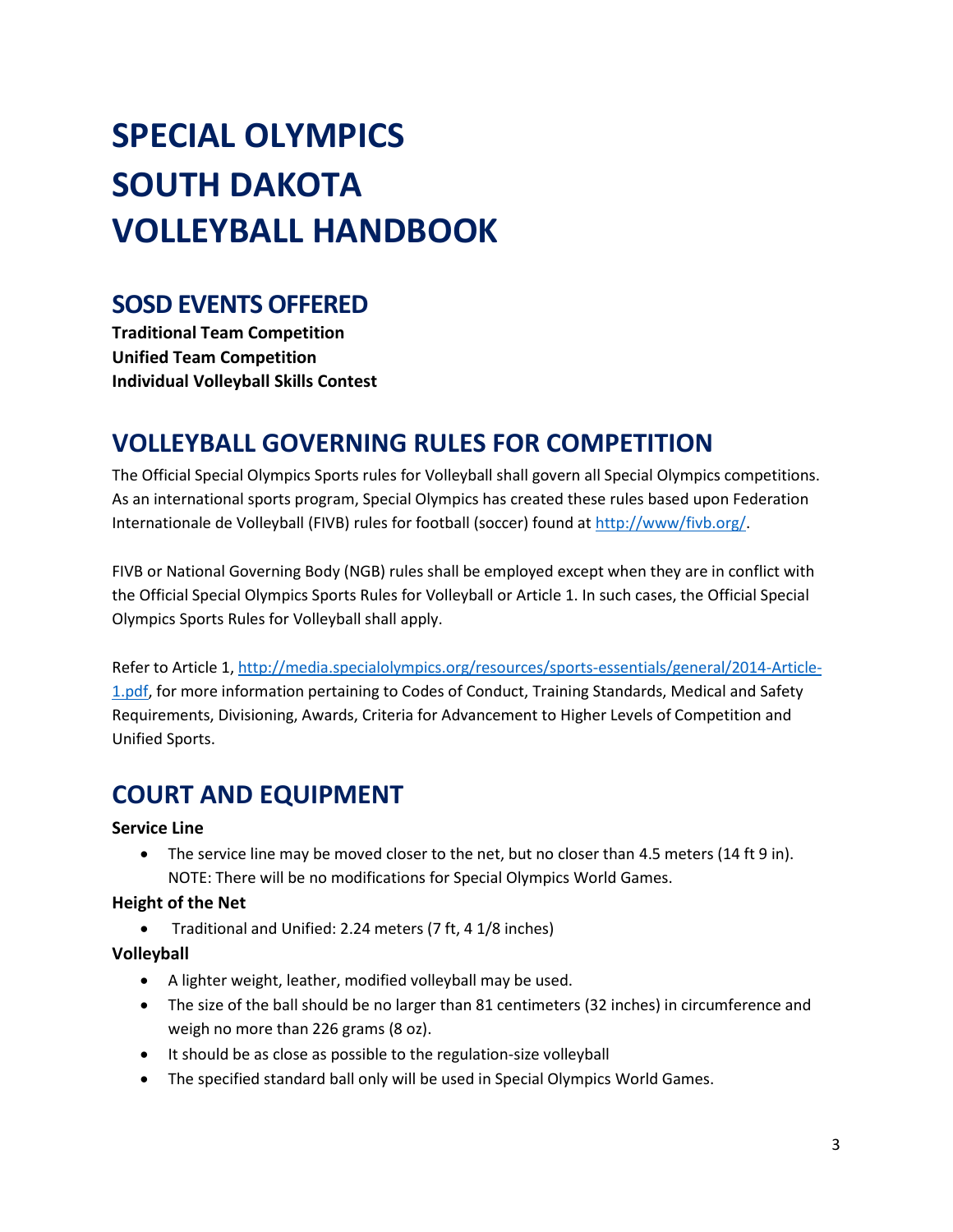# **SPECIAL OLYMPICS SOUTH DAKOTA VOLLEYBALL HANDBOOK**

## **SOSD EVENTS OFFERED**

**Traditional Team Competition Unified Team Competition Individual Volleyball Skills Contest**

# **VOLLEYBALL GOVERNING RULES FOR COMPETITION**

The Official Special Olympics Sports rules for Volleyball shall govern all Special Olympics competitions. As an international sports program, Special Olympics has created these rules based upon Federation Internationale de Volleyball (FIVB) rules for football (soccer) found at http://www/fivb.org/.

FIVB or National Governing Body (NGB) rules shall be employed except when they are in conflict with the Official Special Olympics Sports Rules for Volleyball or Article 1. In such cases, the Official Special Olympics Sports Rules for Volleyball shall apply.

Refer to Article 1, [http://media.specialolympics.org/resources/sports-essentials/general/2014-Article-](http://media.specialolympics.org/resources/sports-essentials/general/2014-Article-1.pdf)[1.pdf,](http://media.specialolympics.org/resources/sports-essentials/general/2014-Article-1.pdf) for more information pertaining to Codes of Conduct, Training Standards, Medical and Safety Requirements, Divisioning, Awards, Criteria for Advancement to Higher Levels of Competition and Unified Sports.

# **COURT AND EQUIPMENT**

#### **Service Line**

• The service line may be moved closer to the net, but no closer than 4.5 meters (14 ft 9 in). NOTE: There will be no modifications for Special Olympics World Games.

#### **Height of the Net**

• Traditional and Unified: 2.24 meters (7 ft, 4 1/8 inches)

#### **Volleyball**

- A lighter weight, leather, modified volleyball may be used.
- The size of the ball should be no larger than 81 centimeters (32 inches) in circumference and weigh no more than 226 grams (8 oz).
- It should be as close as possible to the regulation-size volleyball
- The specified standard ball only will be used in Special Olympics World Games.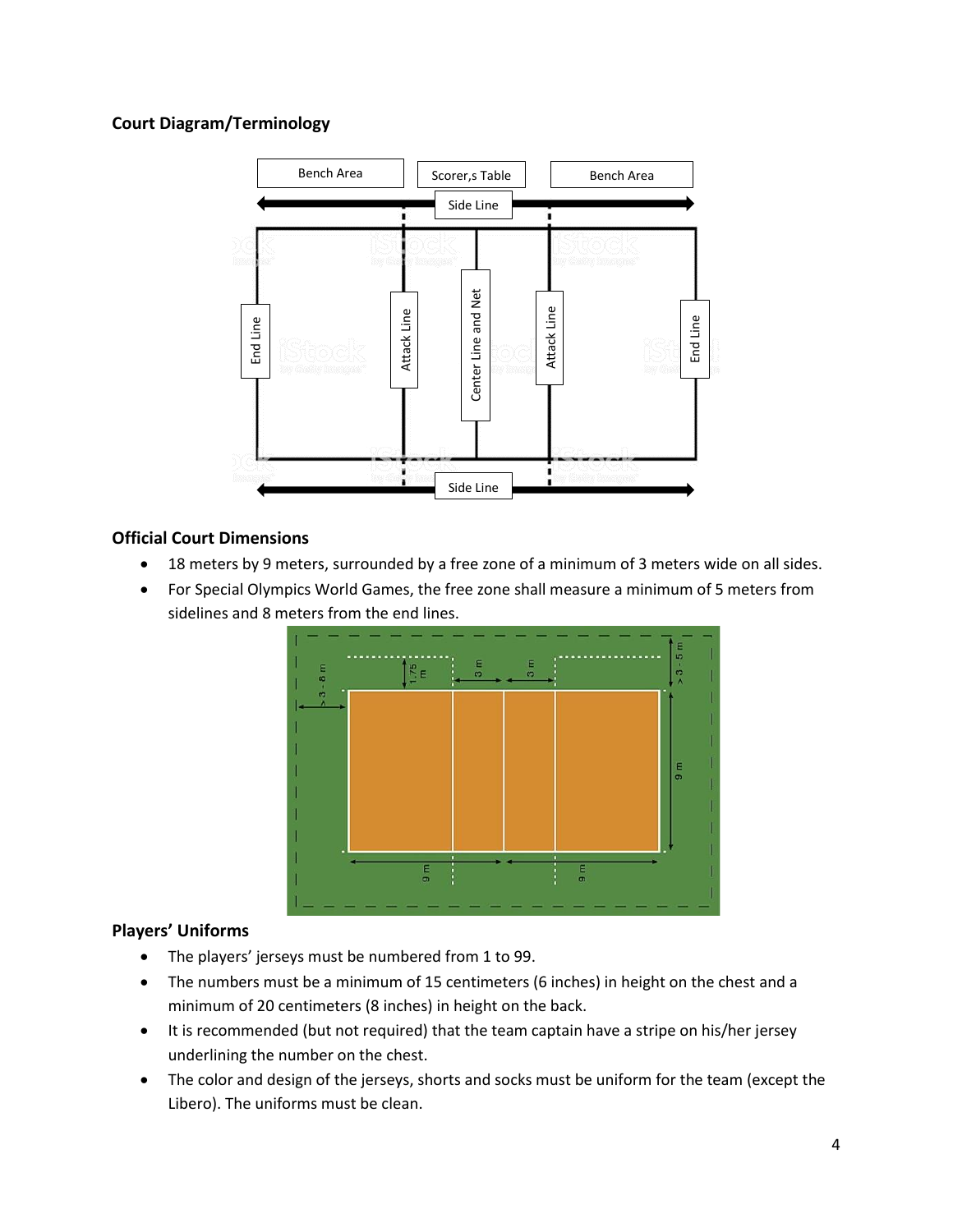#### **Court Diagram/Terminology**



#### **Official Court Dimensions**

- 18 meters by 9 meters, surrounded by a free zone of a minimum of 3 meters wide on all sides.
- For Special Olympics World Games, the free zone shall measure a minimum of 5 meters from sidelines and 8 meters from the end lines.



#### **Players' Uniforms**

- The players' jerseys must be numbered from 1 to 99.
- The numbers must be a minimum of 15 centimeters (6 inches) in height on the chest and a minimum of 20 centimeters (8 inches) in height on the back.
- It is recommended (but not required) that the team captain have a stripe on his/her jersey underlining the number on the chest.
- The color and design of the jerseys, shorts and socks must be uniform for the team (except the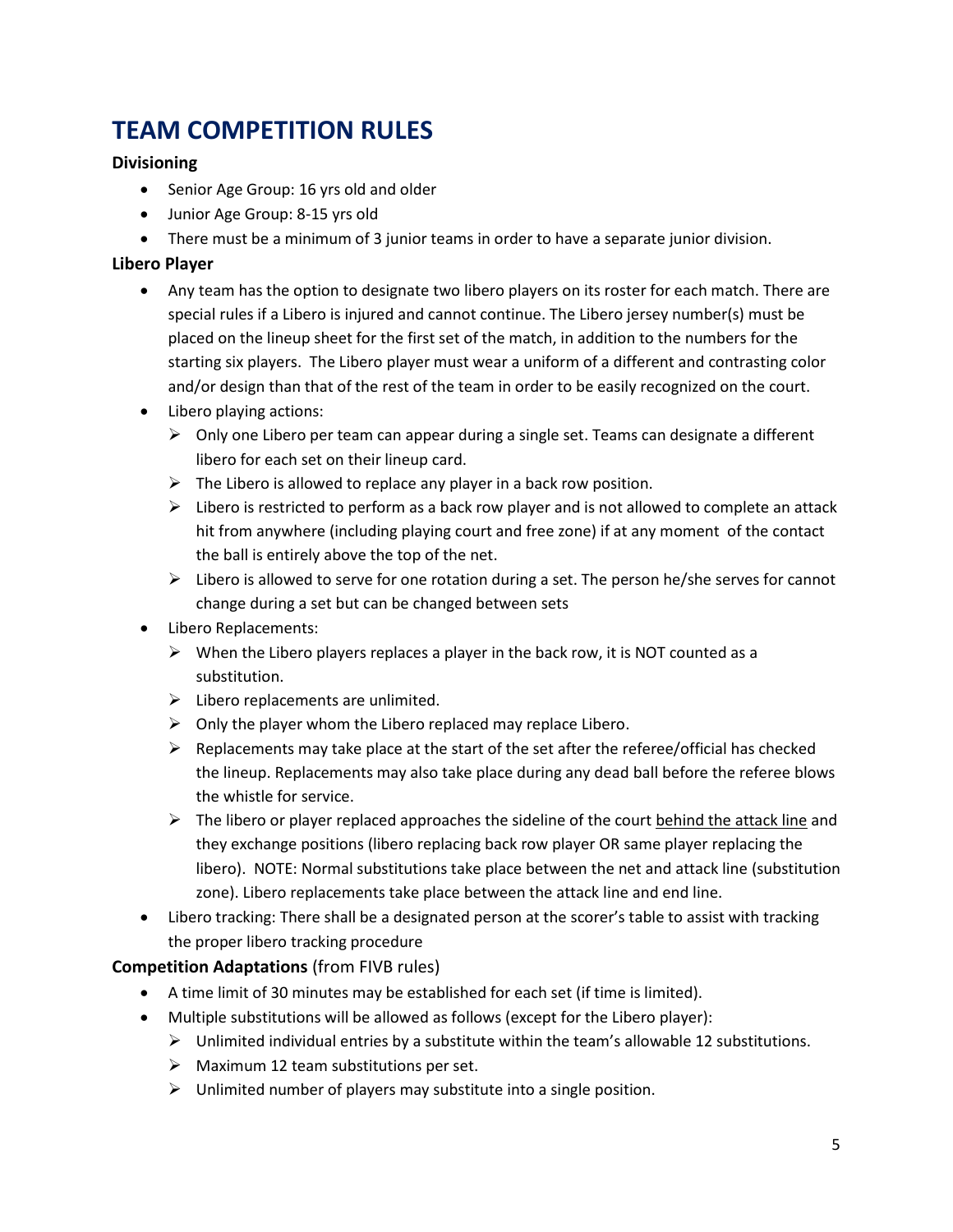# **TEAM COMPETITION RULES**

#### **Divisioning**

- Senior Age Group: 16 yrs old and older
- Junior Age Group: 8-15 yrs old
- There must be a minimum of 3 junior teams in order to have a separate junior division.

#### **Libero Player**

- Any team has the option to designate two libero players on its roster for each match. There are special rules if a Libero is injured and cannot continue. The Libero jersey number(s) must be placed on the lineup sheet for the first set of the match, in addition to the numbers for the starting six players. The Libero player must wear a uniform of a different and contrasting color and/or design than that of the rest of the team in order to be easily recognized on the court.
- Libero playing actions:
	- $\triangleright$  Only one Libero per team can appear during a single set. Teams can designate a different libero for each set on their lineup card.
	- $\triangleright$  The Libero is allowed to replace any player in a back row position.
	- $\triangleright$  Libero is restricted to perform as a back row player and is not allowed to complete an attack hit from anywhere (including playing court and free zone) if at any moment of the contact the ball is entirely above the top of the net.
	- $\triangleright$  Libero is allowed to serve for one rotation during a set. The person he/she serves for cannot change during a set but can be changed between sets
- Libero Replacements:
	- $\triangleright$  When the Libero players replaces a player in the back row, it is NOT counted as a substitution.
	- $\triangleright$  Libero replacements are unlimited.
	- $\triangleright$  Only the player whom the Libero replaced may replace Libero.
	- $\triangleright$  Replacements may take place at the start of the set after the referee/official has checked the lineup. Replacements may also take place during any dead ball before the referee blows the whistle for service.
	- $\triangleright$  The libero or player replaced approaches the sideline of the court behind the attack line and they exchange positions (libero replacing back row player OR same player replacing the libero). NOTE: Normal substitutions take place between the net and attack line (substitution zone). Libero replacements take place between the attack line and end line.
- Libero tracking: There shall be a designated person at the scorer's table to assist with tracking the proper libero tracking procedure

#### **Competition Adaptations** (from FIVB rules)

- A time limit of 30 minutes may be established for each set (if time is limited).
- Multiple substitutions will be allowed as follows (except for the Libero player):
	- $\triangleright$  Unlimited individual entries by a substitute within the team's allowable 12 substitutions.
	- $\triangleright$  Maximum 12 team substitutions per set.
	- $\triangleright$  Unlimited number of players may substitute into a single position.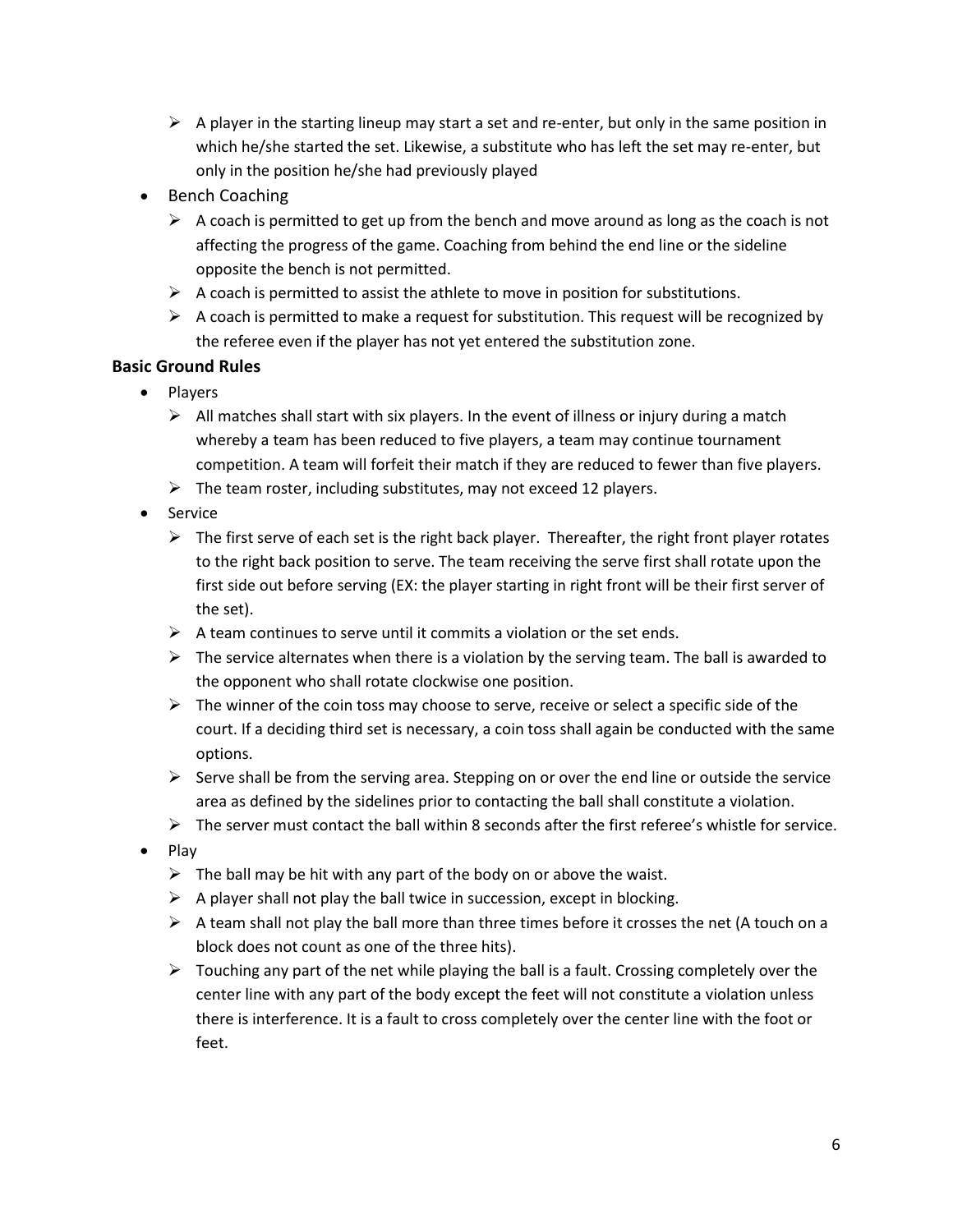- $\triangleright$  A player in the starting lineup may start a set and re-enter, but only in the same position in which he/she started the set. Likewise, a substitute who has left the set may re-enter, but only in the position he/she had previously played
- Bench Coaching
	- $\triangleright$  A coach is permitted to get up from the bench and move around as long as the coach is not affecting the progress of the game. Coaching from behind the end line or the sideline opposite the bench is not permitted.
	- $\triangleright$  A coach is permitted to assist the athlete to move in position for substitutions.
	- $\triangleright$  A coach is permitted to make a request for substitution. This request will be recognized by the referee even if the player has not yet entered the substitution zone.

#### **Basic Ground Rules**

- Players
	- $\triangleright$  All matches shall start with six players. In the event of illness or injury during a match whereby a team has been reduced to five players, a team may continue tournament competition. A team will forfeit their match if they are reduced to fewer than five players.
	- $\triangleright$  The team roster, including substitutes, may not exceed 12 players.
- Service
	- $\triangleright$  The first serve of each set is the right back player. Thereafter, the right front player rotates to the right back position to serve. The team receiving the serve first shall rotate upon the first side out before serving (EX: the player starting in right front will be their first server of the set).
	- $\triangleright$  A team continues to serve until it commits a violation or the set ends.
	- $\triangleright$  The service alternates when there is a violation by the serving team. The ball is awarded to the opponent who shall rotate clockwise one position.
	- $\triangleright$  The winner of the coin toss may choose to serve, receive or select a specific side of the court. If a deciding third set is necessary, a coin toss shall again be conducted with the same options.
	- $\triangleright$  Serve shall be from the serving area. Stepping on or over the end line or outside the service area as defined by the sidelines prior to contacting the ball shall constitute a violation.
	- $\triangleright$  The server must contact the ball within 8 seconds after the first referee's whistle for service.
- Play
	- $\triangleright$  The ball may be hit with any part of the body on or above the waist.
	- $\triangleright$  A player shall not play the ball twice in succession, except in blocking.
	- $\triangleright$  A team shall not play the ball more than three times before it crosses the net (A touch on a block does not count as one of the three hits).
	- $\triangleright$  Touching any part of the net while playing the ball is a fault. Crossing completely over the center line with any part of the body except the feet will not constitute a violation unless there is interference. It is a fault to cross completely over the center line with the foot or feet.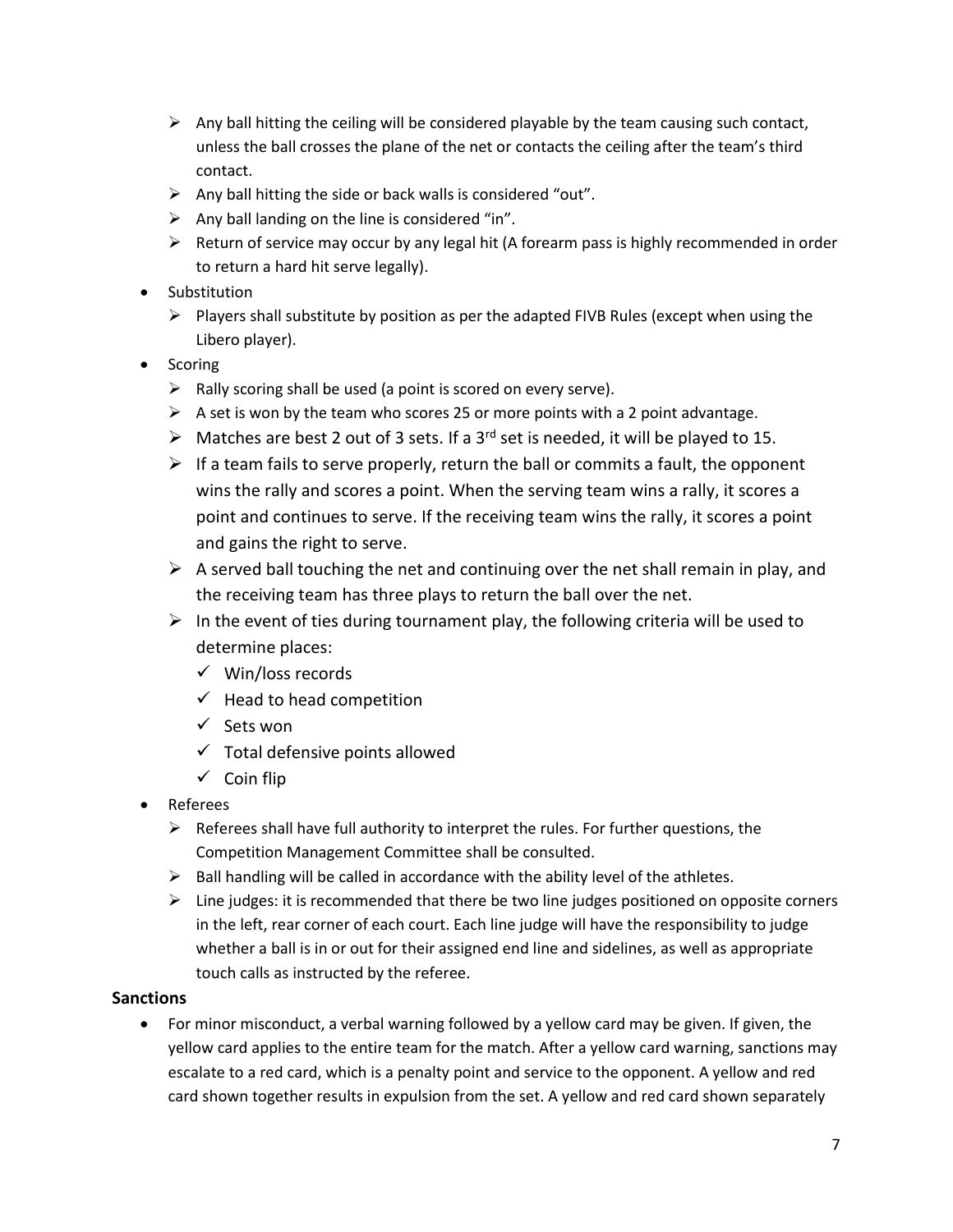- $\triangleright$  Any ball hitting the ceiling will be considered playable by the team causing such contact, unless the ball crosses the plane of the net or contacts the ceiling after the team's third contact.
- $\triangleright$  Any ball hitting the side or back walls is considered "out".
- $\triangleright$  Any ball landing on the line is considered "in".
- $\triangleright$  Return of service may occur by any legal hit (A forearm pass is highly recommended in order to return a hard hit serve legally).
- Substitution
	- $\triangleright$  Players shall substitute by position as per the adapted FIVB Rules (except when using the Libero player).
- Scoring
	- $\triangleright$  Rally scoring shall be used (a point is scored on every serve).
	- $\triangleright$  A set is won by the team who scores 25 or more points with a 2 point advantage.
	- $\triangleright$  Matches are best 2 out of 3 sets. If a 3<sup>rd</sup> set is needed, it will be played to 15.
	- $\triangleright$  If a team fails to serve properly, return the ball or commits a fault, the opponent wins the rally and scores a point. When the serving team wins a rally, it scores a point and continues to serve. If the receiving team wins the rally, it scores a point and gains the right to serve.
	- $\triangleright$  A served ball touching the net and continuing over the net shall remain in play, and the receiving team has three plays to return the ball over the net.
	- $\triangleright$  In the event of ties during tournament play, the following criteria will be used to determine places:
		- ✓ Win/loss records
		- $\checkmark$  Head to head competition
		- ✓ Sets won
		- $\checkmark$  Total defensive points allowed
		- ✓ Coin flip
- Referees
	- $\triangleright$  Referees shall have full authority to interpret the rules. For further questions, the Competition Management Committee shall be consulted.
	- $\triangleright$  Ball handling will be called in accordance with the ability level of the athletes.
	- $\triangleright$  Line judges: it is recommended that there be two line judges positioned on opposite corners in the left, rear corner of each court. Each line judge will have the responsibility to judge whether a ball is in or out for their assigned end line and sidelines, as well as appropriate touch calls as instructed by the referee.

#### **Sanctions**

• For minor misconduct, a verbal warning followed by a yellow card may be given. If given, the yellow card applies to the entire team for the match. After a yellow card warning, sanctions may escalate to a red card, which is a penalty point and service to the opponent. A yellow and red card shown together results in expulsion from the set. A yellow and red card shown separately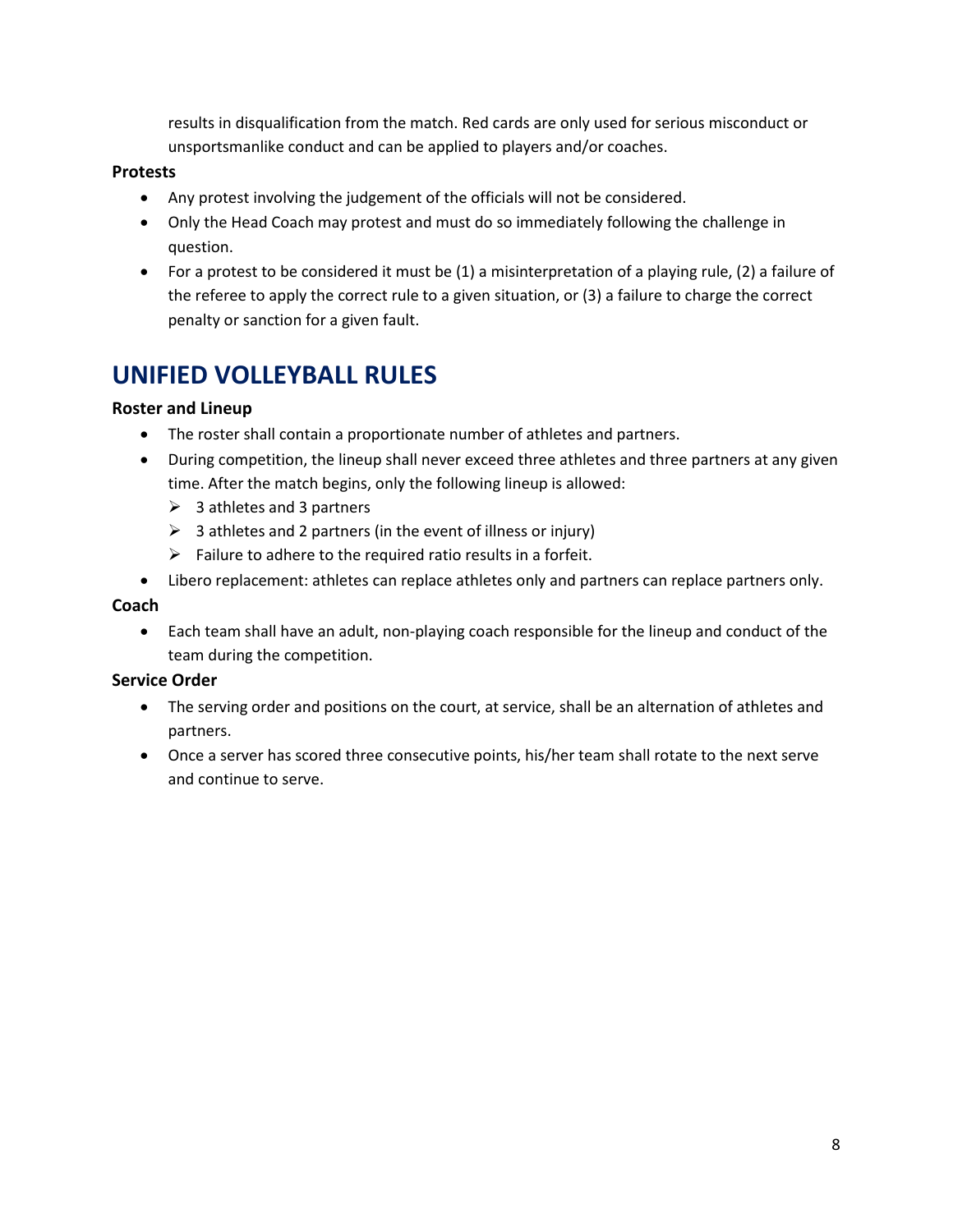results in disqualification from the match. Red cards are only used for serious misconduct or unsportsmanlike conduct and can be applied to players and/or coaches.

#### **Protests**

- Any protest involving the judgement of the officials will not be considered.
- Only the Head Coach may protest and must do so immediately following the challenge in question.
- For a protest to be considered it must be (1) a misinterpretation of a playing rule, (2) a failure of the referee to apply the correct rule to a given situation, or (3) a failure to charge the correct penalty or sanction for a given fault.

### **UNIFIED VOLLEYBALL RULES**

#### **Roster and Lineup**

- The roster shall contain a proportionate number of athletes and partners.
- During competition, the lineup shall never exceed three athletes and three partners at any given time. After the match begins, only the following lineup is allowed:
	- $\geqslant$  3 athletes and 3 partners
	- $\triangleright$  3 athletes and 2 partners (in the event of illness or injury)
	- $\triangleright$  Failure to adhere to the required ratio results in a forfeit.
- Libero replacement: athletes can replace athletes only and partners can replace partners only.

#### **Coach**

• Each team shall have an adult, non-playing coach responsible for the lineup and conduct of the team during the competition.

#### **Service Order**

- The serving order and positions on the court, at service, shall be an alternation of athletes and partners.
- Once a server has scored three consecutive points, his/her team shall rotate to the next serve and continue to serve.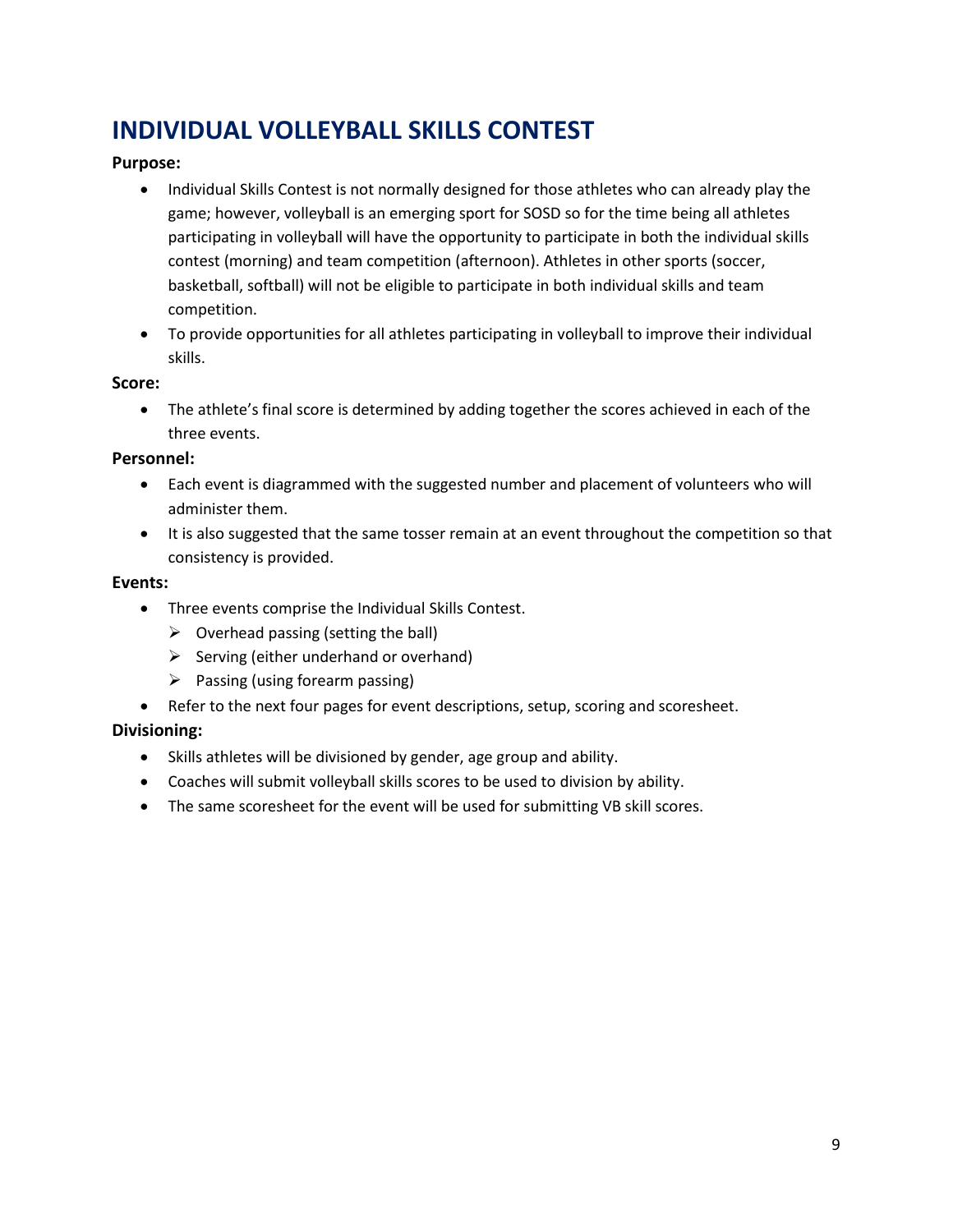# **INDIVIDUAL VOLLEYBALL SKILLS CONTEST**

#### **Purpose:**

- Individual Skills Contest is not normally designed for those athletes who can already play the game; however, volleyball is an emerging sport for SOSD so for the time being all athletes participating in volleyball will have the opportunity to participate in both the individual skills contest (morning) and team competition (afternoon). Athletes in other sports (soccer, basketball, softball) will not be eligible to participate in both individual skills and team competition.
- To provide opportunities for all athletes participating in volleyball to improve their individual skills.

#### **Score:**

• The athlete's final score is determined by adding together the scores achieved in each of the three events.

#### **Personnel:**

- Each event is diagrammed with the suggested number and placement of volunteers who will administer them.
- It is also suggested that the same tosser remain at an event throughout the competition so that consistency is provided.

#### **Events:**

- Three events comprise the Individual Skills Contest.
	- $\triangleright$  Overhead passing (setting the ball)
	- $\triangleright$  Serving (either underhand or overhand)
	- $\triangleright$  Passing (using forearm passing)
- Refer to the next four pages for event descriptions, setup, scoring and scoresheet.

#### **Divisioning:**

- Skills athletes will be divisioned by gender, age group and ability.
- Coaches will submit volleyball skills scores to be used to division by ability.
- The same scoresheet for the event will be used for submitting VB skill scores.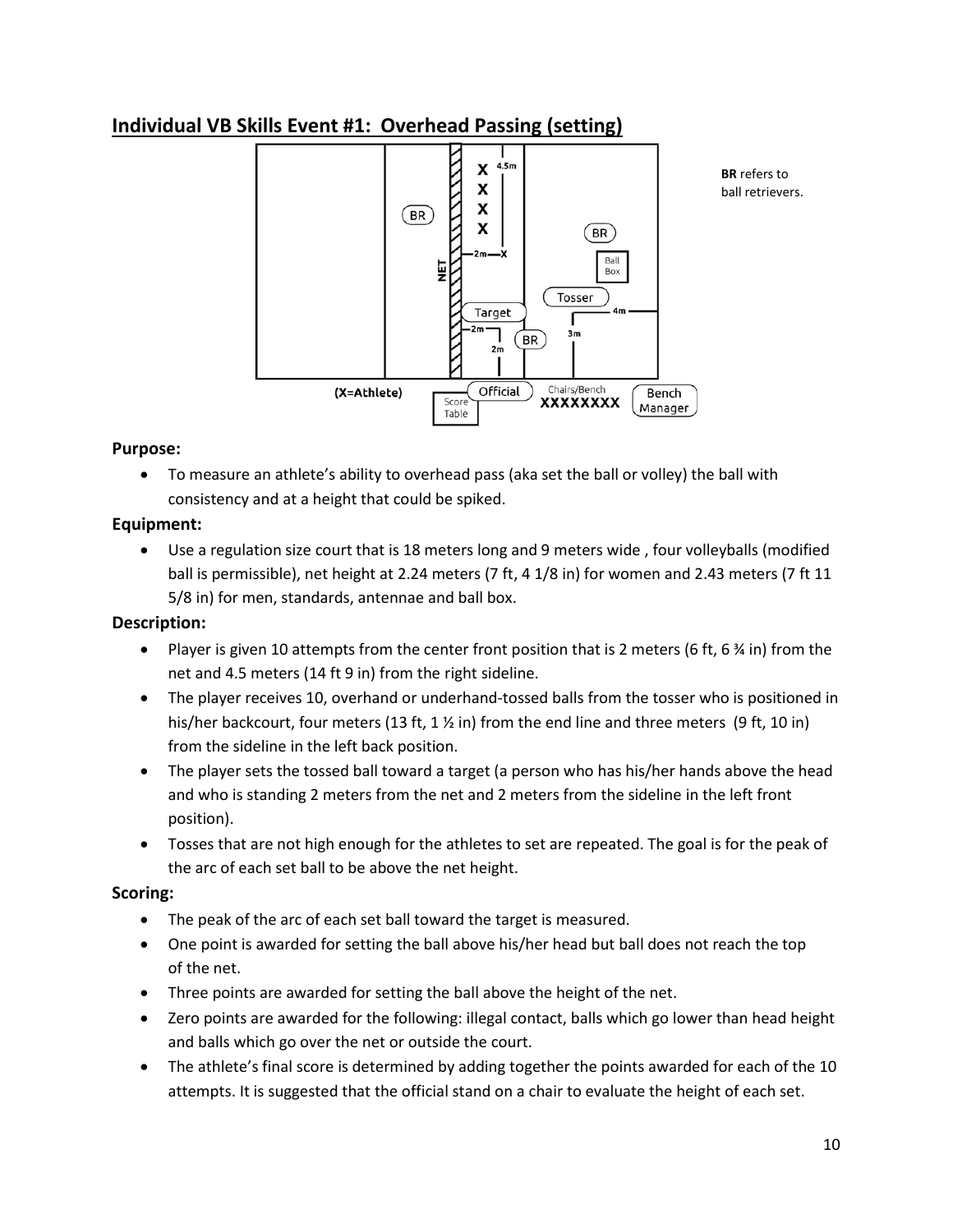### **Individual VB Skills Event #1: Overhead Passing (setting)**



**BR** refers to ball retrievers.

#### **Purpose:**

• To measure an athlete's ability to overhead pass (aka set the ball or volley) the ball with consistency and at a height that could be spiked.

#### **Equipment:**

• Use a regulation size court that is 18 meters long and 9 meters wide , four volleyballs (modified ball is permissible), net height at 2.24 meters (7 ft, 4 1/8 in) for women and 2.43 meters (7 ft 11 5/8 in) for men, standards, antennae and ball box.

#### **Description:**

- Player is given 10 attempts from the center front position that is 2 meters (6 ft, 6  $\frac{3}{4}$  in) from the net and 4.5 meters (14 ft 9 in) from the right sideline.
- The player receives 10, overhand or underhand-tossed balls from the tosser who is positioned in his/her backcourt, four meters (13 ft, 1  $\frac{1}{2}$  in) from the end line and three meters (9 ft, 10 in) from the sideline in the left back position.
- The player sets the tossed ball toward a target (a person who has his/her hands above the head and who is standing 2 meters from the net and 2 meters from the sideline in the left front position).
- Tosses that are not high enough for the athletes to set are repeated. The goal is for the peak of the arc of each set ball to be above the net height.

#### **Scoring:**

- The peak of the arc of each set ball toward the target is measured.
- One point is awarded for setting the ball above his/her head but ball does not reach the top of the net.
- Three points are awarded for setting the ball above the height of the net.
- Zero points are awarded for the following: illegal contact, balls which go lower than head height and balls which go over the net or outside the court.
- The athlete's final score is determined by adding together the points awarded for each of the 10 attempts. It is suggested that the official stand on a chair to evaluate the height of each set.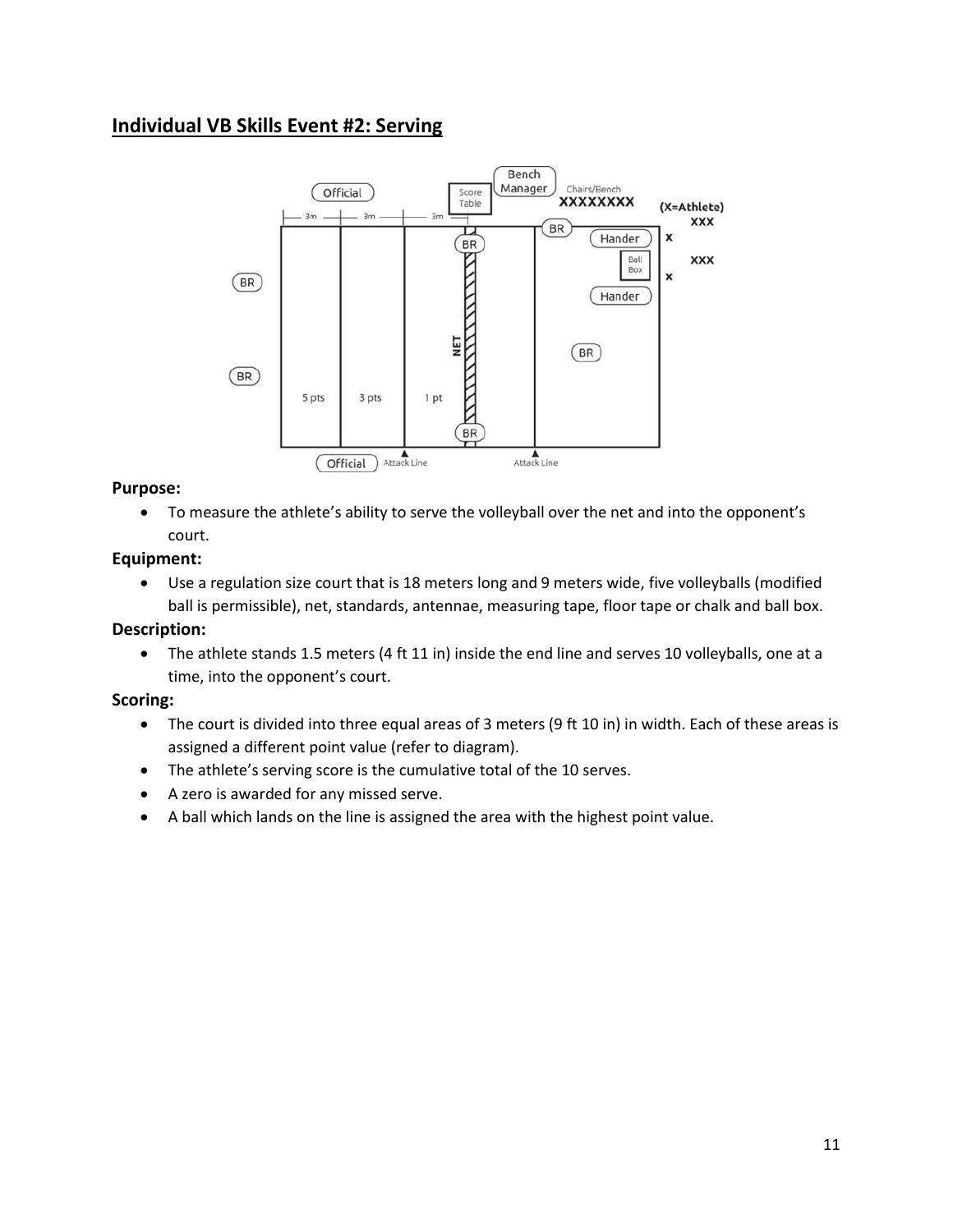### **Individual VB Skills Event #2: Serving**



#### **Purpose:**

• To measure the athlete's ability to serve the volleyball over the net and into the opponent's court.

#### **Equipment:**

• Use a regulation size court that is 18 meters long and 9 meters wide, five volleyballs (modified ball is permissible), net, standards, antennae, measuring tape, floor tape or chalk and ball box.

#### **Description:**

• The athlete stands 1.5 meters (4 ft 11 in) inside the end line and serves 10 volleyballs, one at a time, into the opponent's court.

#### **Scoring:**

- The court is divided into three equal areas of 3 meters (9 ft 10 in) in width. Each of these areas is assigned a different point value (refer to diagram).
- The athlete's serving score is the cumulative total of the 10 serves.
- A zero is awarded for any missed serve.
- A ball which lands on the line is assigned the area with the highest point value.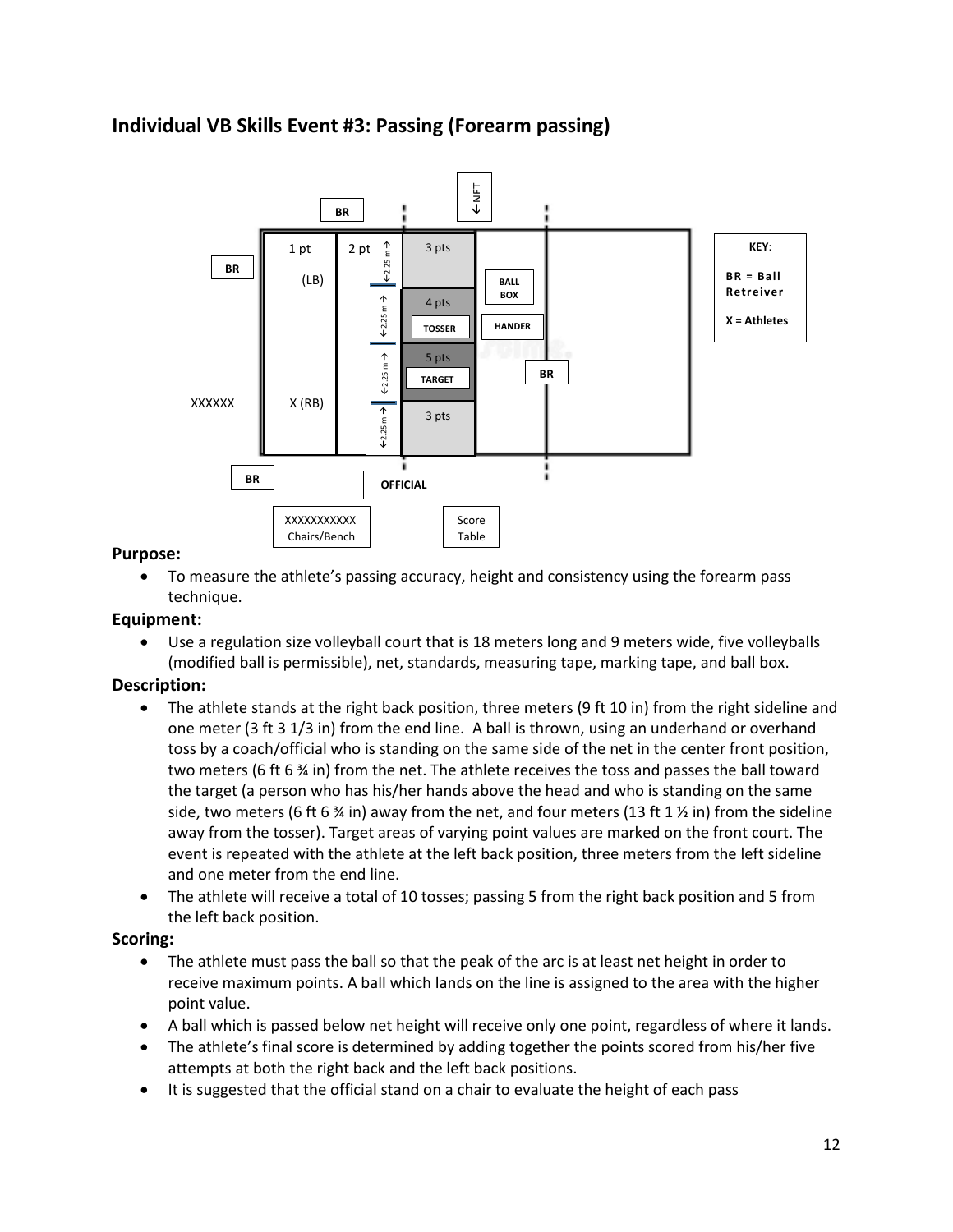### **Individual VB Skills Event #3: Passing (Forearm passing)**



#### **Purpose:**

• To measure the athlete's passing accuracy, height and consistency using the forearm pass technique.

#### **Equipment:**

• Use a regulation size volleyball court that is 18 meters long and 9 meters wide, five volleyballs (modified ball is permissible), net, standards, measuring tape, marking tape, and ball box.

#### **Description:**

- The athlete stands at the right back position, three meters (9 ft 10 in) from the right sideline and one meter (3 ft 3 1/3 in) from the end line. A ball is thrown, using an underhand or overhand toss by a coach/official who is standing on the same side of the net in the center front position, two meters (6 ft 6 % in) from the net. The athlete receives the toss and passes the ball toward the target (a person who has his/her hands above the head and who is standing on the same side, two meters (6 ft 6  $\frac{3}{4}$  in) away from the net, and four meters (13 ft 1  $\frac{1}{2}$  in) from the sideline away from the tosser). Target areas of varying point values are marked on the front court. The event is repeated with the athlete at the left back position, three meters from the left sideline and one meter from the end line.
- The athlete will receive a total of 10 tosses; passing 5 from the right back position and 5 from the left back position.

#### **Scoring:**

- The athlete must pass the ball so that the peak of the arc is at least net height in order to receive maximum points. A ball which lands on the line is assigned to the area with the higher point value.
- A ball which is passed below net height will receive only one point, regardless of where it lands.
- The athlete's final score is determined by adding together the points scored from his/her five attempts at both the right back and the left back positions.
- It is suggested that the official stand on a chair to evaluate the height of each pass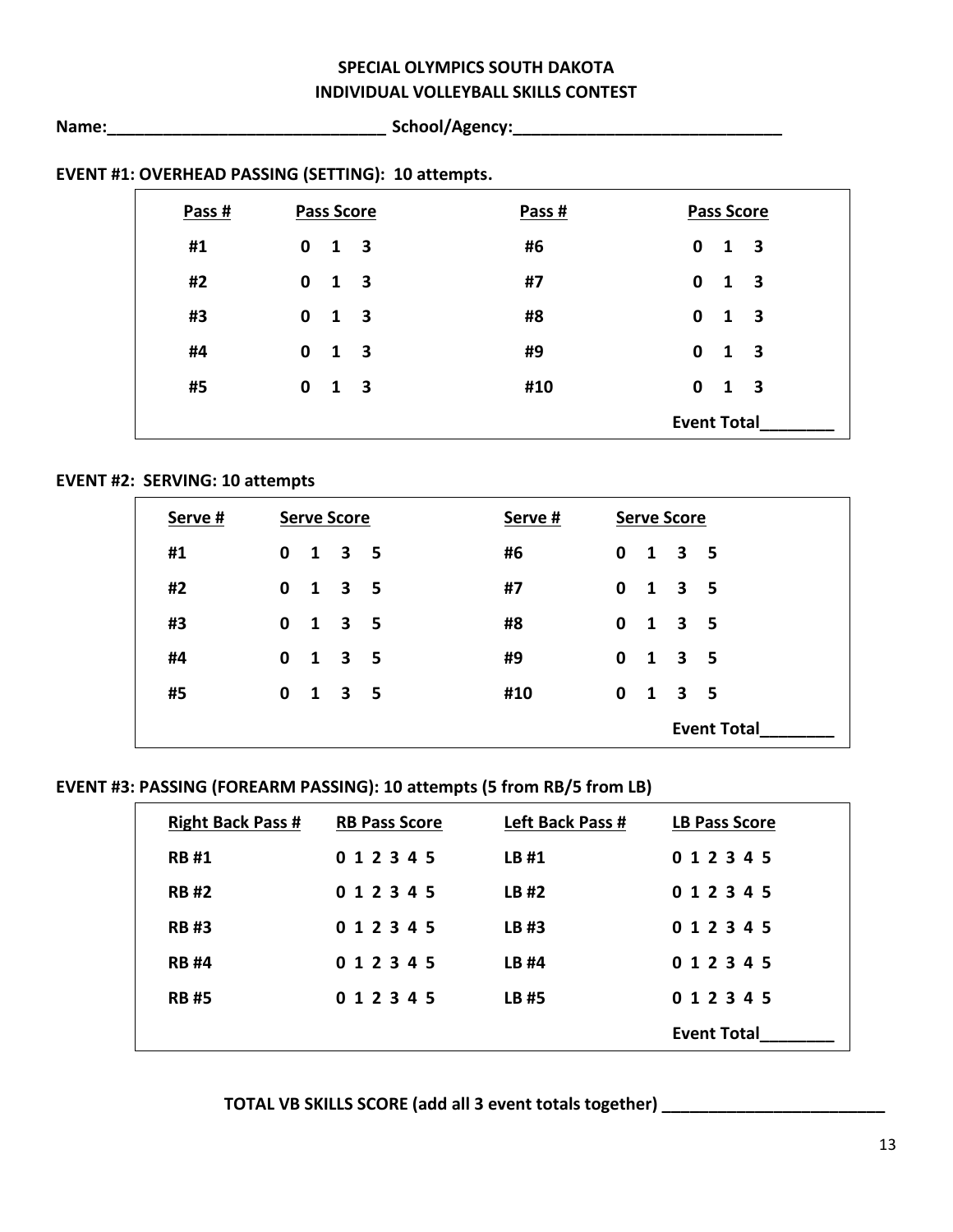### **SPECIAL OLYMPICS SOUTH DAKOTA INDIVIDUAL VOLLEYBALL SKILLS CONTEST**

**Name:\_\_\_\_\_\_\_\_\_\_\_\_\_\_\_\_\_\_\_\_\_\_\_\_\_\_\_\_\_\_ School/Agency:\_\_\_\_\_\_\_\_\_\_\_\_\_\_\_\_\_\_\_\_\_\_\_\_\_\_\_\_\_**

| Pass # |             | <b>Pass Score</b>                       | Pass # |                    | <b>Pass Score</b> |                         |
|--------|-------------|-----------------------------------------|--------|--------------------|-------------------|-------------------------|
| #1     | $\mathbf 0$ | $\overline{\mathbf{3}}$<br>$\mathbf{1}$ | #6     | $\mathbf 0$        | 1                 | $\overline{\mathbf{3}}$ |
| #2     | $\mathbf 0$ | $\overline{\mathbf{3}}$<br>$\mathbf{1}$ | #7     | $\mathbf 0$        | 1                 | $\overline{\mathbf{3}}$ |
| #3     | $\mathbf 0$ | $\overline{\mathbf{3}}$<br>$\mathbf{1}$ | #8     | $\mathbf 0$        | 1                 | $\overline{\mathbf{3}}$ |
| #4     | $\mathbf 0$ | 3<br>1                                  | #9     | $\mathbf 0$        | 1                 | $\overline{\mathbf{3}}$ |
| #5     | $\mathbf 0$ | 3<br>1                                  | #10    | $\mathbf 0$        | 1                 | $\overline{\mathbf{3}}$ |
|        |             |                                         |        | <b>Event Total</b> |                   |                         |

### **EVENT #1: OVERHEAD PASSING (SETTING): 10 attempts.**

#### **EVENT #2: SERVING: 10 attempts**

| Serve # | <b>Serve Score</b> | Serve # | <b>Serve Score</b>                 |  |  |
|---------|--------------------|---------|------------------------------------|--|--|
| #1      | $0 \t1 \t3 \t5$    | #6      | $\mathbf 0$<br>1 3 5               |  |  |
| #2      | $0$ 1 3 5          | #7      | $\mathbf{0}$<br>1 3 5              |  |  |
| #3      | $0$ 1 3 5          | #8      | $\mathbf 0$<br>1 3 5               |  |  |
| #4      | $0 \t1 \t3 \t5$    | #9      | $\mathbf 0$<br>$1 \quad 3 \quad 5$ |  |  |
| #5      | $0 \t1 \t3 \t5$    | #10     | $\bf{0}$<br>$1 \quad 3 \quad 5$    |  |  |
|         |                    |         | <b>Event Total</b>                 |  |  |

#### **EVENT #3: PASSING (FOREARM PASSING): 10 attempts (5 from RB/5 from LB)**

| <b>Right Back Pass #</b> | <b>RB Pass Score</b> | Left Back Pass # | <b>LB Pass Score</b> |
|--------------------------|----------------------|------------------|----------------------|
| <b>RB#1</b>              | 0 1 2 3 4 5          | LB#1             | 0 1 2 3 4 5          |
| <b>RB#2</b>              | 0 1 2 3 4 5          | LB#2             | 0 1 2 3 4 5          |
| <b>RB#3</b>              | 0 1 2 3 4 5          | LB #3            | 0 1 2 3 4 5          |
| <b>RB#4</b>              | 0 1 2 3 4 5          | LB #4            | 0 1 2 3 4 5          |
| <b>RB#5</b>              | 0 1 2 3 4 5          | LB #5            | 0 1 2 3 4 5          |
|                          |                      |                  | <b>Event Total</b>   |

**TOTAL VB SKILLS SCORE (add all 3 event totals together) \_\_\_\_\_\_\_\_\_\_\_\_\_\_\_\_\_\_\_\_\_\_\_\_**